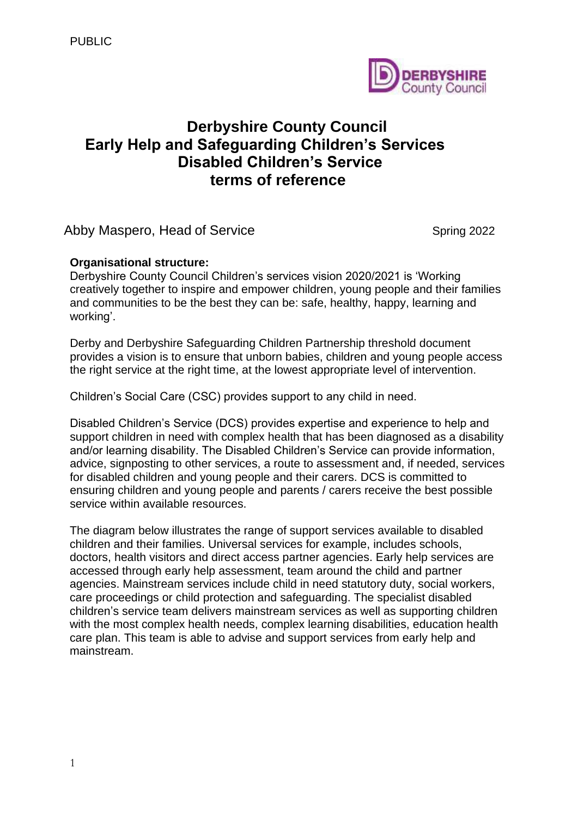

# **Derbyshire County Council Early Help and Safeguarding Children's Services Disabled Children's Service terms of reference**

Abby Maspero, Head of Service Spring 2022

# **Organisational structure:**

Derbyshire County Council Children's services vision 2020/2021 is 'Working creatively together to inspire and empower children, young people and their families and communities to be the best they can be: safe, healthy, happy, learning and working'.

Derby and Derbyshire Safeguarding Children Partnership threshold document provides a vision is to ensure that unborn babies, children and young people access the right service at the right time, at the lowest appropriate level of intervention.

Children's Social Care (CSC) provides support to any child in need.

Disabled Children's Service (DCS) provides expertise and experience to help and support children in need with complex health that has been diagnosed as a disability and/or learning disability. The Disabled Children's Service can provide information, advice, signposting to other services, a route to assessment and, if needed, services for disabled children and young people and their carers. DCS is committed to ensuring children and young people and parents / carers receive the best possible service within available resources.

The diagram below illustrates the range of support services available to disabled children and their families. Universal services for example, includes schools, doctors, health visitors and direct access partner agencies. Early help services are accessed through early help assessment, team around the child and partner agencies. Mainstream services include child in need statutory duty, social workers, care proceedings or child protection and safeguarding. The specialist disabled children's service team delivers mainstream services as well as supporting children with the most complex health needs, complex learning disabilities, education health care plan. This team is able to advise and support services from early help and mainstream.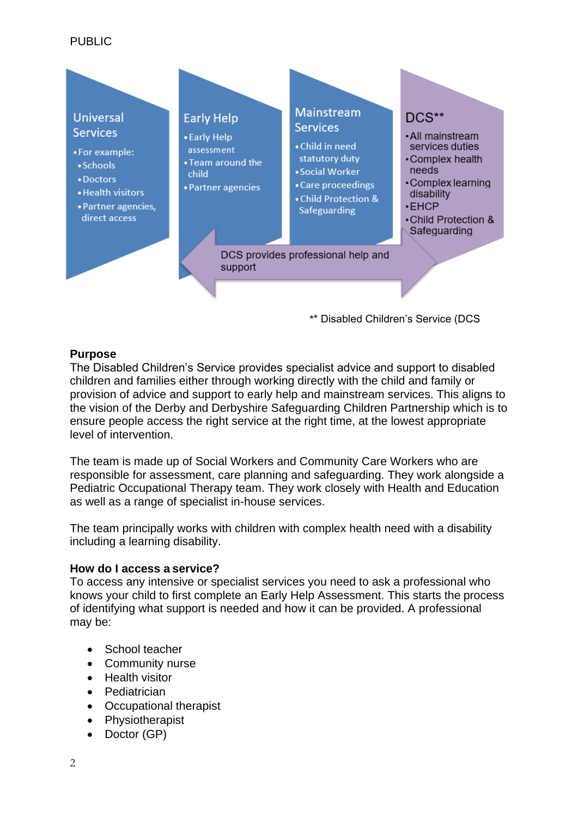## PUBLIC



#### **Purpose**

The Disabled Children's Service provides specialist advice and support to disabled children and families either through working directly with the child and family or provision of advice and support to early help and mainstream services. This aligns to the vision of the Derby and Derbyshire Safeguarding Children Partnership which is to ensure people access the right service at the right time, at the lowest appropriate level of intervention.

The team is made up of Social Workers and Community Care Workers who are responsible for assessment, care planning and safeguarding. They work alongside a Pediatric Occupational Therapy team. They work closely with Health and Education as well as a range of specialist in-house services.

The team principally works with children with complex health need with a disability including a learning disability.

#### **How do I access a service?**

To access any intensive or specialist services you need to ask a professional who knows your child to first complete an Early Help Assessment. This starts the process of identifying what support is needed and how it can be provided. A professional may be:

- School teacher
- Community nurse
- Health visitor
- Pediatrician
- Occupational therapist
- Physiotherapist
- Doctor (GP)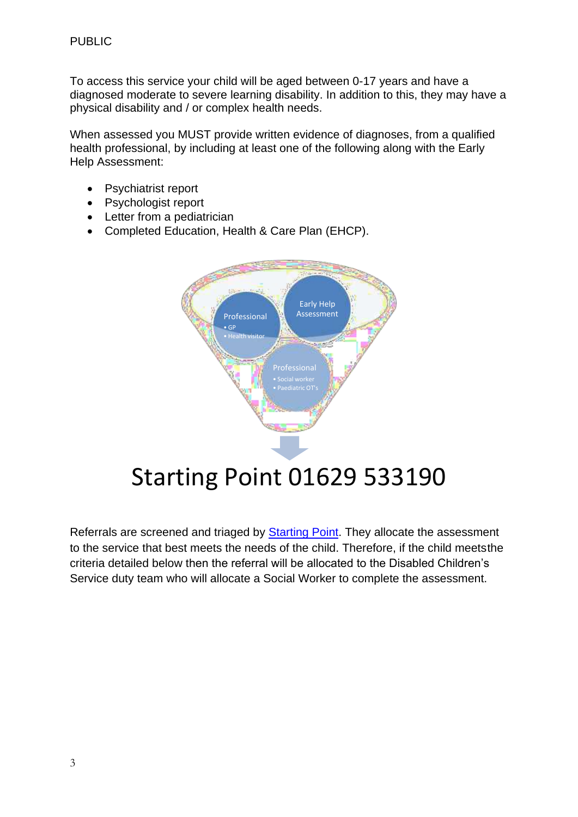To access this service your child will be aged between 0-17 years and have a diagnosed moderate to severe learning disability. In addition to this, they may have a physical disability and / or complex health needs.

When assessed you MUST provide written evidence of diagnoses, from a qualified health professional, by including at least one of the following along with the Early Help Assessment:

- Psychiatrist report
- Psychologist report
- Letter from a pediatrician
- Completed Education, Health & Care Plan (EHCP).



Referrals are screened and triaged by **Starting Point**. They allocate the assessment to the service that best meets the needs of the child. Therefore, if the child meetsthe criteria detailed below then the referral will be allocated to the Disabled Children's Service duty team who will allocate a Social Worker to complete the assessment.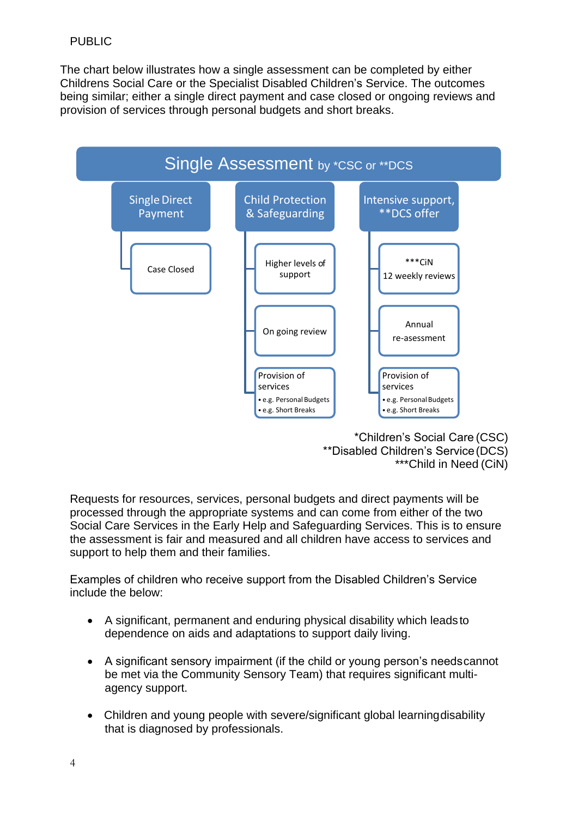The chart below illustrates how a single assessment can be completed by either Childrens Social Care or the Specialist Disabled Children's Service. The outcomes being similar; either a single direct payment and case closed or ongoing reviews and provision of services through personal budgets and short breaks.



\*Children's Social Care (CSC) \*\*Disabled Children's Service(DCS) \*\*\*Child in Need (CiN)

Requests for resources, services, personal budgets and direct payments will be processed through the appropriate systems and can come from either of the two Social Care Services in the Early Help and Safeguarding Services. This is to ensure the assessment is fair and measured and all children have access to services and support to help them and their families.

Examples of children who receive support from the Disabled Children's Service include the below:

- A significant, permanent and enduring physical disability which leads to dependence on aids and adaptations to support daily living.
- A significant sensory impairment (if the child or young person's needscannot be met via the Community Sensory Team) that requires significant multiagency support.
- Children and young people with severe/significant global learningdisability that is diagnosed by professionals.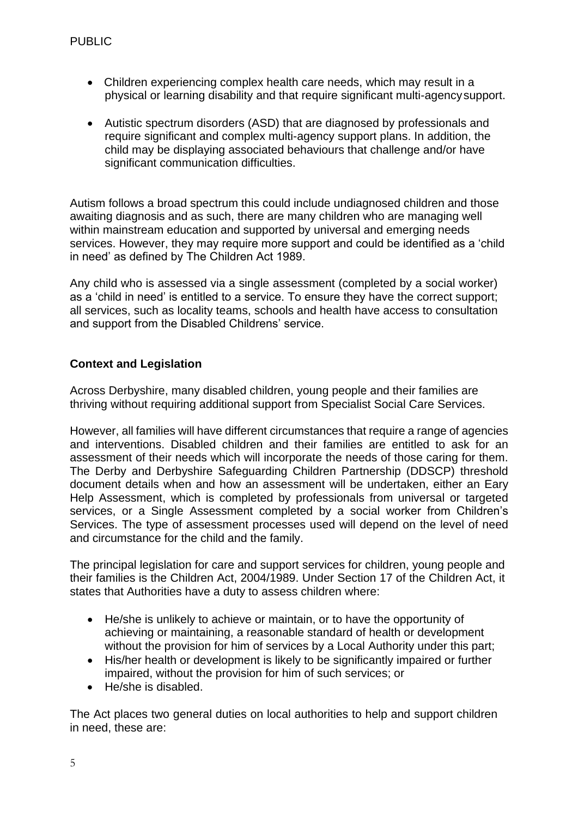- Children experiencing complex health care needs, which may result in a physical or learning disability and that require significant multi-agencysupport.
- Autistic spectrum disorders (ASD) that are diagnosed by professionals and require significant and complex multi-agency support plans. In addition, the child may be displaying associated behaviours that challenge and/or have significant communication difficulties.

Autism follows a broad spectrum this could include undiagnosed children and those awaiting diagnosis and as such, there are many children who are managing well within mainstream education and supported by universal and emerging needs services. However, they may require more support and could be identified as a 'child in need' as defined by The Children Act 1989.

Any child who is assessed via a single assessment (completed by a social worker) as a 'child in need' is entitled to a service. To ensure they have the correct support; all services, such as locality teams, schools and health have access to consultation and support from the Disabled Childrens' service.

### **Context and Legislation**

Across Derbyshire, many disabled children, young people and their families are thriving without requiring additional support from Specialist Social Care Services.

 and interventions. Disabled children and their families are entitled to ask for an The Derby and Derbyshire Safeguarding Children Partnership (DDSCP) threshold services, or a Single Assessment completed by a social worker from Children's However, all families will have different circumstances that require a range of agencies assessment of their needs which will incorporate the needs of those caring for them. document details when and how an assessment will be undertaken, either an Eary Help Assessment, which is completed by professionals from universal or targeted Services. The type of assessment processes used will depend on the level of need and circumstance for the child and the family.

The principal legislation for care and support services for children, young people and their families is the Children Act, 2004/1989. Under Section 17 of the Children Act, it states that Authorities have a duty to assess children where:

- He/she is unlikely to achieve or maintain, or to have the opportunity of achieving or maintaining, a reasonable standard of health or development without the provision for him of services by a Local Authority under this part;
- His/her health or development is likely to be significantly impaired or further impaired, without the provision for him of such services; or
- He/she is disabled.

 The Act places two general duties on local authorities to help and support children in need, these are: